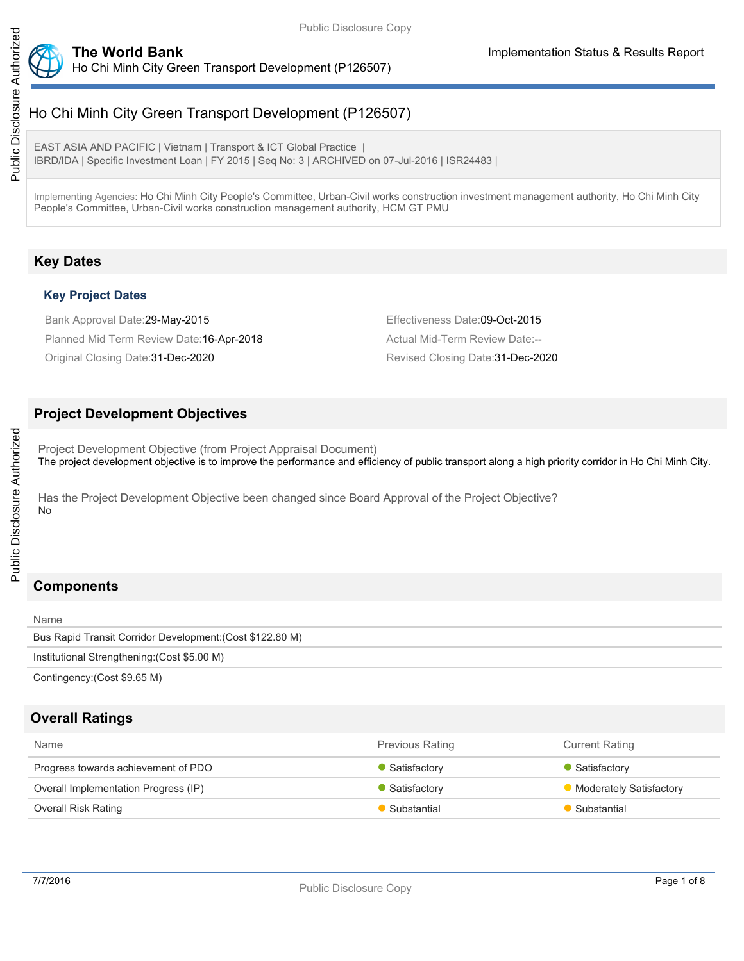

# Public Disclosure Authorized Public Disclosure Authorized

Ho Chi Minh City Green Transport Development (P126507)

EAST ASIA AND PACIFIC | Vietnam | Transport & ICT Global Practice | IBRD/IDA | Specific Investment Loan | FY 2015 | Seq No: 3 | ARCHIVED on 07-Jul-2016 | ISR24483 |

Implementing Agencies: Ho Chi Minh City People's Committee, Urban-Civil works construction investment management authority, Ho Chi Minh City People's Committee, Urban-Civil works construction management authority, HCM GT PMU

# **Key Dates**

## **Key Project Dates**

Bank Approval Date:29-May-2015 **Effectiveness Date:09-Oct-2015** Planned Mid Term Review Date: 16-Apr-2018 Actual Mid-Term Review Date:--Original Closing Date: 31-Dec-2020 **Revised Closing Date: 31-Dec-2020** Revised Closing Date: 31-Dec-2020

## **Project Development Objectives**

Project Development Objective (from Project Appraisal Document) The project development objective is to improve the performance and efficiency of public transport along a high priority corridor in Ho Chi Minh City.

Has the Project Development Objective been changed since Board Approval of the Project Objective? No

# **Components**

| Name                                                      |
|-----------------------------------------------------------|
| Bus Rapid Transit Corridor Development: (Cost \$122.80 M) |
| Institutional Strengthening: (Cost \$5.00 M)              |
| Contingency: (Cost \$9.65 M)                              |

## **Overall Ratings**

| <b>Name</b>                          | <b>Previous Rating</b> | <b>Current Rating</b>          |
|--------------------------------------|------------------------|--------------------------------|
| Progress towards achievement of PDO  | Satisfactory           | Satisfactory                   |
| Overall Implementation Progress (IP) | Satisfactory           | <b>Moderately Satisfactory</b> |
| Overall Risk Rating                  | Substantial            | Substantial                    |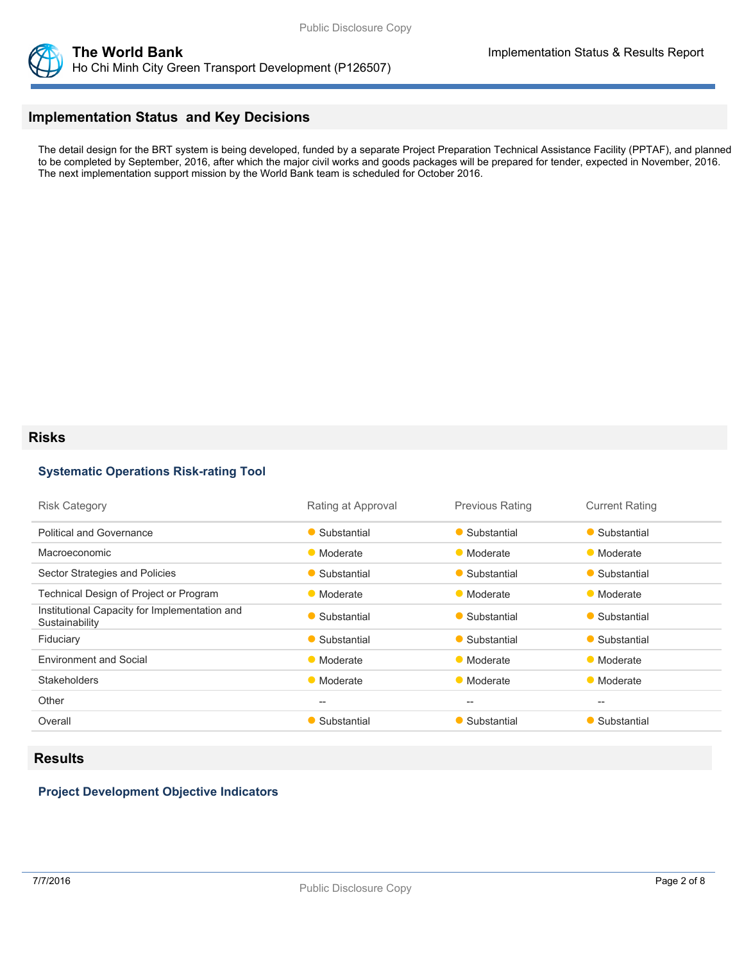

## **Implementation Status and Key Decisions**

The detail design for the BRT system is being developed, funded by a separate Project Preparation Technical Assistance Facility (PPTAF), and planned to be completed by September, 2016, after which the major civil works and goods packages will be prepared for tender, expected in November, 2016. The next implementation support mission by the World Bank team is scheduled for October 2016.

#### **Risks**

#### **Systematic Operations Risk-rating Tool**

| <b>Risk Category</b>                                            | Rating at Approval | <b>Previous Rating</b> | <b>Current Rating</b> |
|-----------------------------------------------------------------|--------------------|------------------------|-----------------------|
| <b>Political and Governance</b>                                 | • Substantial      | • Substantial          | • Substantial         |
| Macroeconomic                                                   | • Moderate         | • Moderate             | • Moderate            |
| Sector Strategies and Policies                                  | • Substantial      | • Substantial          | • Substantial         |
| Technical Design of Project or Program                          | • Moderate         | • Moderate             | • Moderate            |
| Institutional Capacity for Implementation and<br>Sustainability | • Substantial      | • Substantial          | • Substantial         |
| Fiduciary                                                       | • Substantial      | • Substantial          | • Substantial         |
| <b>Environment and Social</b>                                   | • Moderate         | • Moderate             | • Moderate            |
| <b>Stakeholders</b>                                             | • Moderate         | • Moderate             | • Moderate            |
| Other                                                           | $- -$              | $- -$                  | --                    |
| Overall                                                         | • Substantial      | • Substantial          | • Substantial         |

#### **Results**

#### **Project Development Objective Indicators**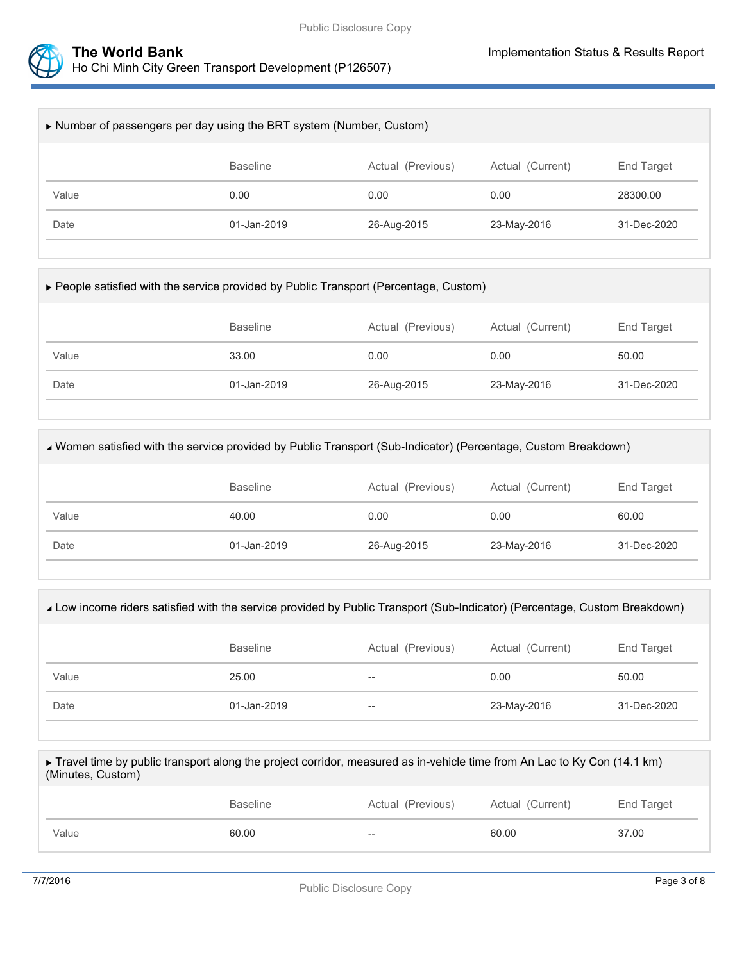

| Number of passengers per day using the BRT system (Number, Custom)     |             |             |             |             |  |  |
|------------------------------------------------------------------------|-------------|-------------|-------------|-------------|--|--|
| <b>Baseline</b><br>Actual (Current)<br>Actual (Previous)<br>End Target |             |             |             |             |  |  |
| Value                                                                  | 0.00        | 0.00        | 0.00        | 28300.00    |  |  |
| Date                                                                   | 01-Jan-2019 | 26-Aug-2015 | 23-May-2016 | 31-Dec-2020 |  |  |
|                                                                        |             |             |             |             |  |  |

| ► People satisfied with the service provided by Public Transport (Percentage, Custom) |  |
|---------------------------------------------------------------------------------------|--|
|---------------------------------------------------------------------------------------|--|

|       | <b>Baseline</b> | Actual (Previous) | Actual (Current) | End Target  |
|-------|-----------------|-------------------|------------------|-------------|
| Value | 33.00           | 0.00              | 0.00             | 50.00       |
| Date  | 01-Jan-2019     | 26-Aug-2015       | 23-May-2016      | 31-Dec-2020 |

| √ Women satisfied with the service provided by Public Transport (Sub-Indicator) (Percentage, Custom Breakdown) |                 |                   |                  |             |  |
|----------------------------------------------------------------------------------------------------------------|-----------------|-------------------|------------------|-------------|--|
|                                                                                                                | <b>Baseline</b> | Actual (Previous) | Actual (Current) | End Target  |  |
| Value                                                                                                          | 40.00           | 0.00              | 0.00             | 60.00       |  |
| Date                                                                                                           | 01-Jan-2019     | 26-Aug-2015       | 23-May-2016      | 31-Dec-2020 |  |
|                                                                                                                |                 |                   |                  |             |  |

| Low income riders satisfied with the service provided by Public Transport (Sub-Indicator) (Percentage, Custom Breakdown) |                 |                   |                  |             |  |
|--------------------------------------------------------------------------------------------------------------------------|-----------------|-------------------|------------------|-------------|--|
|                                                                                                                          | <b>Baseline</b> | Actual (Previous) | Actual (Current) | End Target  |  |
| Value                                                                                                                    | 25.00           | --                | 0.00             | 50.00       |  |
| Date                                                                                                                     | 01-Jan-2019     | $- -$             | 23-May-2016      | 31-Dec-2020 |  |
|                                                                                                                          |                 |                   |                  |             |  |

| ► Travel time by public transport along the project corridor, measured as in-vehicle time from An Lac to Ky Con (14.1 km)<br>(Minutes, Custom) |                 |                   |                  |            |  |
|------------------------------------------------------------------------------------------------------------------------------------------------|-----------------|-------------------|------------------|------------|--|
|                                                                                                                                                | <b>Baseline</b> | Actual (Previous) | Actual (Current) | End Target |  |

Value 60.00 60.00 -- 60.00 -- 60.00 - 57.00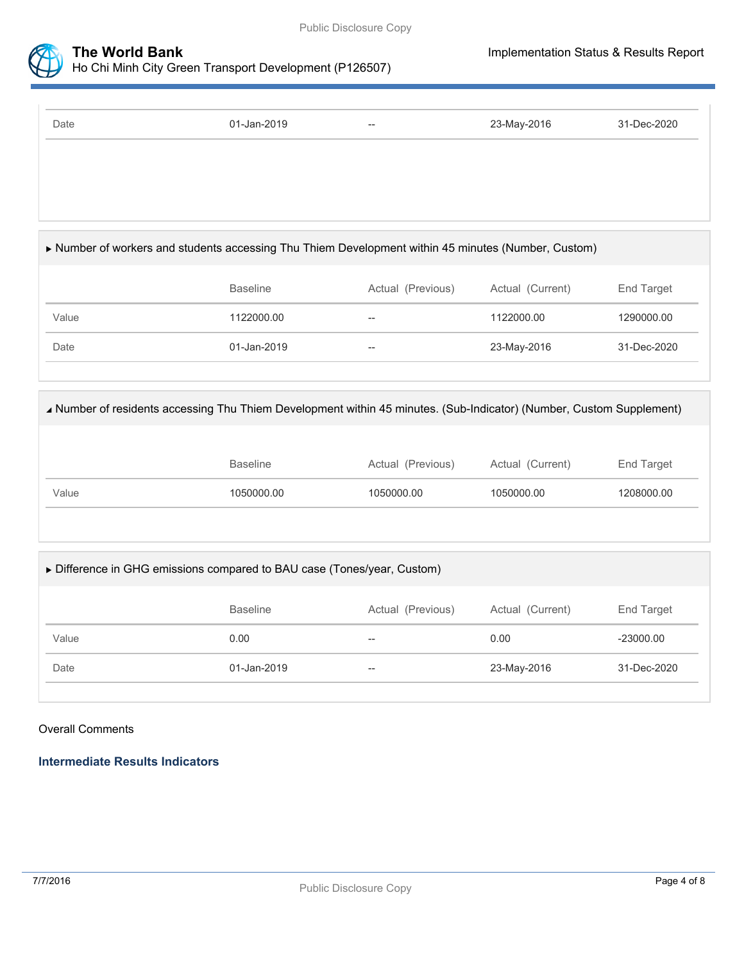



Ho Chi Minh City Green Transport Development (P126507)

| 01-Jan-2019     | $\hspace{0.05cm} -\hspace{0.05cm} -\hspace{0.05cm}$ | 23-May-2016       | 31-Dec-2020                                                                                                                                                                                                                                   |
|-----------------|-----------------------------------------------------|-------------------|-----------------------------------------------------------------------------------------------------------------------------------------------------------------------------------------------------------------------------------------------|
|                 |                                                     |                   |                                                                                                                                                                                                                                               |
|                 |                                                     |                   |                                                                                                                                                                                                                                               |
|                 |                                                     |                   |                                                                                                                                                                                                                                               |
|                 |                                                     |                   |                                                                                                                                                                                                                                               |
|                 |                                                     |                   |                                                                                                                                                                                                                                               |
|                 |                                                     |                   |                                                                                                                                                                                                                                               |
|                 |                                                     |                   | End Target                                                                                                                                                                                                                                    |
| 1122000.00      | $\overline{a}$                                      | 1122000.00        | 1290000.00                                                                                                                                                                                                                                    |
| 01-Jan-2019     | --                                                  | 23-May-2016       | 31-Dec-2020                                                                                                                                                                                                                                   |
|                 |                                                     |                   |                                                                                                                                                                                                                                               |
|                 |                                                     |                   |                                                                                                                                                                                                                                               |
|                 |                                                     |                   |                                                                                                                                                                                                                                               |
|                 |                                                     |                   |                                                                                                                                                                                                                                               |
| <b>Baseline</b> | Actual (Previous)                                   | Actual (Current)  | End Target                                                                                                                                                                                                                                    |
| 1050000.00      | 1050000.00                                          | 1050000.00        | 1208000.00                                                                                                                                                                                                                                    |
|                 |                                                     |                   |                                                                                                                                                                                                                                               |
|                 |                                                     |                   |                                                                                                                                                                                                                                               |
|                 | <b>Baseline</b>                                     | Actual (Previous) | Number of workers and students accessing Thu Thiem Development within 45 minutes (Number, Custom)<br>Actual (Current)<br>▲ Number of residents accessing Thu Thiem Development within 45 minutes. (Sub-Indicator) (Number, Custom Supplement) |

|       | <b>Baseline</b> | Actual (Previous) | Actual (Current) | End Target  |
|-------|-----------------|-------------------|------------------|-------------|
| Value | 0.00            | $-$               | 0.00             | $-23000.00$ |
| Date  | 01-Jan-2019     | $-$               | 23-May-2016      | 31-Dec-2020 |
|       |                 |                   |                  |             |

#### Overall Comments

**Intermediate Results Indicators**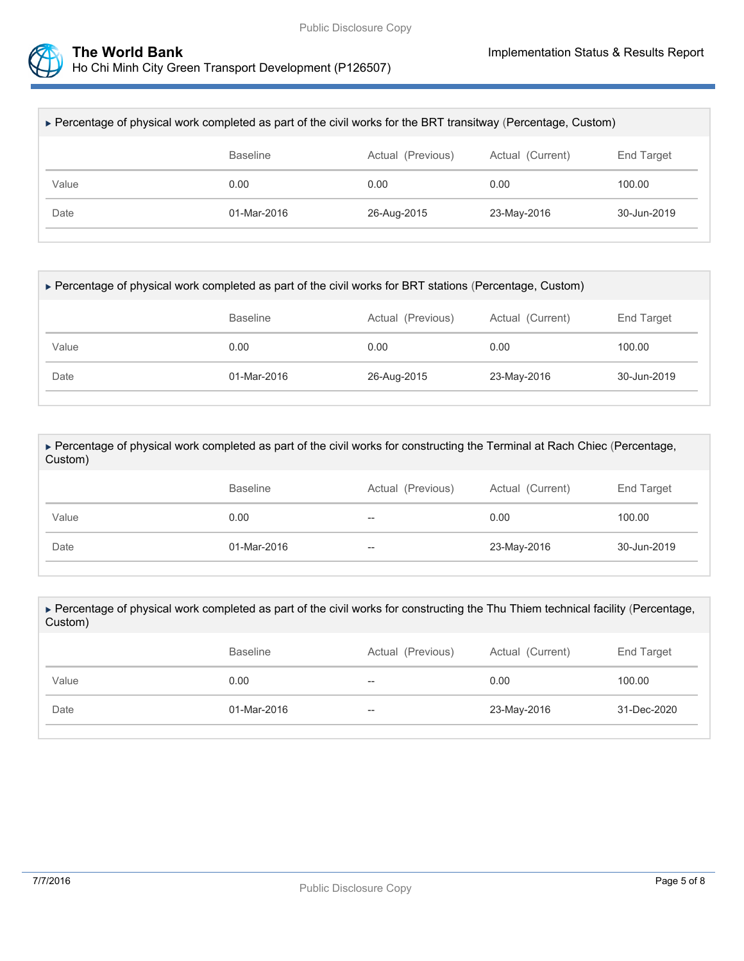

| ► Percentage of physical work completed as part of the civil works for the BRT transitway (Percentage, Custom) |             |             |             |             |  |
|----------------------------------------------------------------------------------------------------------------|-------------|-------------|-------------|-------------|--|
| <b>Baseline</b><br>Actual (Current)<br>End Target<br>Actual (Previous)                                         |             |             |             |             |  |
| Value                                                                                                          | 0.00        | 0.00        | 0.00        | 100.00      |  |
| Date                                                                                                           | 01-Mar-2016 | 26-Aug-2015 | 23-May-2016 | 30-Jun-2019 |  |
|                                                                                                                |             |             |             |             |  |

| ▶ Percentage of physical work completed as part of the civil works for BRT stations (Percentage, Custom) |             |             |             |             |  |  |  |
|----------------------------------------------------------------------------------------------------------|-------------|-------------|-------------|-------------|--|--|--|
| <b>Baseline</b><br>Actual (Previous)<br>Actual (Current)<br>End Target                                   |             |             |             |             |  |  |  |
| Value                                                                                                    | 0.00        | 0.00        | 0.00        | 100.00      |  |  |  |
| Date                                                                                                     | 01-Mar-2016 | 26-Aug-2015 | 23-May-2016 | 30-Jun-2019 |  |  |  |
|                                                                                                          |             |             |             |             |  |  |  |

 Percentage of physical work completed as part of the civil works for constructing the Terminal at Rach Chiec (Percentage, Custom)

|       | Baseline    | Actual (Previous)        | Actual (Current) | End Target  |
|-------|-------------|--------------------------|------------------|-------------|
| Value | 0.00        | $\overline{\phantom{m}}$ | 0.00             | 100.00      |
| Date  | 01-Mar-2016 | $\hspace{0.05cm} \dashv$ | 23-May-2016      | 30-Jun-2019 |

 Percentage of physical work completed as part of the civil works for constructing the Thu Thiem technical facility (Percentage, Custom)

|       | <b>Baseline</b> | Actual (Previous) | Actual (Current) | End Target  |
|-------|-----------------|-------------------|------------------|-------------|
| Value | 0.00            | $- -$             | 0.00             | 100.00      |
| Date  | 01-Mar-2016     | $- -$             | 23-May-2016      | 31-Dec-2020 |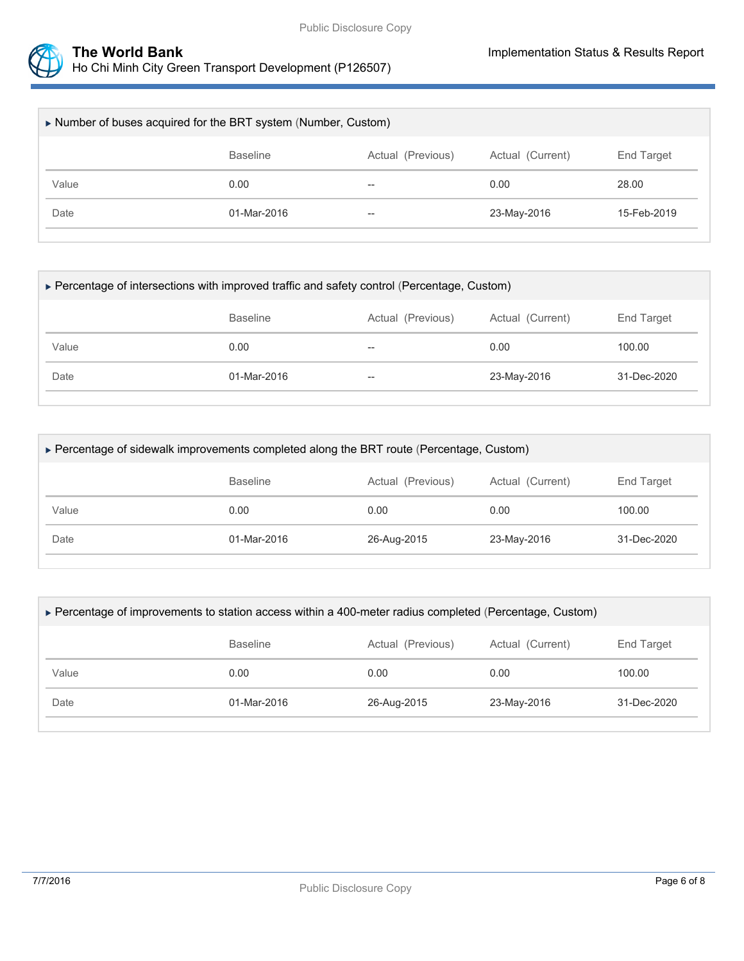

| Number of buses acquired for the BRT system (Number, Custom)           |             |       |             |             |  |  |
|------------------------------------------------------------------------|-------------|-------|-------------|-------------|--|--|
| <b>Baseline</b><br>Actual (Previous)<br>Actual (Current)<br>End Target |             |       |             |             |  |  |
| Value                                                                  | 0.00        | $- -$ | 0.00        | 28.00       |  |  |
| Date                                                                   | 01-Mar-2016 | $- -$ | 23-May-2016 | 15-Feb-2019 |  |  |
|                                                                        |             |       |             |             |  |  |

| ▶ Percentage of intersections with improved traffic and safety control (Percentage, Custom) |             |       |             |             |  |  |
|---------------------------------------------------------------------------------------------|-------------|-------|-------------|-------------|--|--|
| <b>Baseline</b><br>Actual (Previous)<br>Actual (Current)<br>End Target                      |             |       |             |             |  |  |
| Value                                                                                       | 0.00        | $- -$ | 0.00        | 100.00      |  |  |
| Date                                                                                        | 01-Mar-2016 | $- -$ | 23-May-2016 | 31-Dec-2020 |  |  |
|                                                                                             |             |       |             |             |  |  |

| ▶ Percentage of sidewalk improvements completed along the BRT route (Percentage, Custom) |             |             |             |             |  |  |
|------------------------------------------------------------------------------------------|-------------|-------------|-------------|-------------|--|--|
| Actual (Previous)<br>Actual (Current)<br>End Target<br><b>Baseline</b>                   |             |             |             |             |  |  |
| Value                                                                                    | 0.00        | 0.00        | 0.00        | 100.00      |  |  |
| Date                                                                                     | 01-Mar-2016 | 26-Aug-2015 | 23-May-2016 | 31-Dec-2020 |  |  |

| ► Percentage of improvements to station access within a 400-meter radius completed (Percentage, Custom) |             |             |             |             |  |  |
|---------------------------------------------------------------------------------------------------------|-------------|-------------|-------------|-------------|--|--|
| <b>Baseline</b><br>Actual (Previous)<br>Actual (Current)<br>End Target                                  |             |             |             |             |  |  |
| Value                                                                                                   | 0.00        | 0.00        | 0.00        | 100.00      |  |  |
| Date                                                                                                    | 01-Mar-2016 | 26-Aug-2015 | 23-May-2016 | 31-Dec-2020 |  |  |
|                                                                                                         |             |             |             |             |  |  |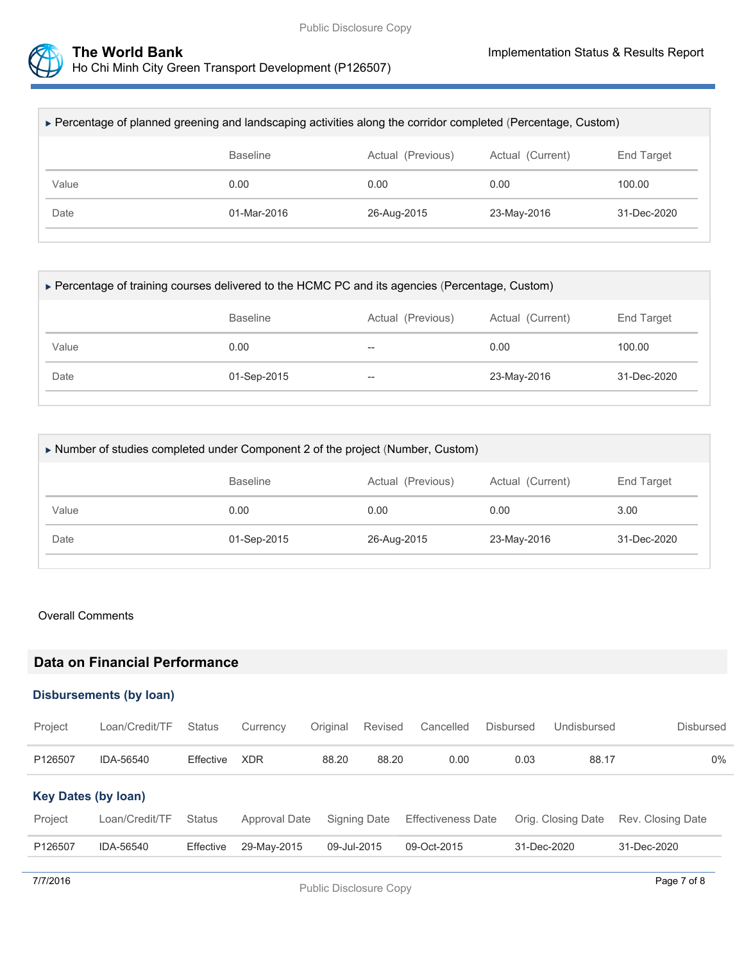

| ► Percentage of planned greening and landscaping activities along the corridor completed (Percentage, Custom) |             |             |             |             |  |  |
|---------------------------------------------------------------------------------------------------------------|-------------|-------------|-------------|-------------|--|--|
| <b>Baseline</b><br>Actual (Previous)<br>Actual (Current)<br><b>End Target</b>                                 |             |             |             |             |  |  |
| Value                                                                                                         | 0.00        | 0.00        | 0.00        | 100.00      |  |  |
| Date                                                                                                          | 01-Mar-2016 | 26-Aug-2015 | 23-May-2016 | 31-Dec-2020 |  |  |
|                                                                                                               |             |             |             |             |  |  |

|                                                                        |  |                | ► Percentage of training courses delivered to the HCMC PC and its agencies (Percentage, Custom) |  |  |  |  |  |  |
|------------------------------------------------------------------------|--|----------------|-------------------------------------------------------------------------------------------------|--|--|--|--|--|--|
| Actual (Current)<br>End Target<br><b>Baseline</b><br>Actual (Previous) |  |                |                                                                                                 |  |  |  |  |  |  |
|                                                                        |  |                | 100.00                                                                                          |  |  |  |  |  |  |
| 01-Sep-2015                                                            |  |                | 31-Dec-2020                                                                                     |  |  |  |  |  |  |
|                                                                        |  | $- -$<br>$- -$ | 0.00<br>23-May-2016                                                                             |  |  |  |  |  |  |

| Number of studies completed under Component 2 of the project (Number, Custom) |             |      |             |             |  |  |
|-------------------------------------------------------------------------------|-------------|------|-------------|-------------|--|--|
| Actual (Current)<br><b>Baseline</b><br>Actual (Previous)<br>End Target        |             |      |             |             |  |  |
| Value                                                                         | 0.00        | 0.00 | 0.00        | 3.00        |  |  |
| Date                                                                          | 01-Sep-2015 |      | 23-May-2016 | 31-Dec-2020 |  |  |
|                                                                               |             |      |             |             |  |  |

#### Overall Comments

## **Data on Financial Performance**

#### **Disbursements (by loan)**

| Project                    | Loan/Credit/TF | <b>Status</b> | Currency      | Original    | Revised      | Cancelled                 | Disbursed   | Undisbursed        | <b>Disbursed</b>  |
|----------------------------|----------------|---------------|---------------|-------------|--------------|---------------------------|-------------|--------------------|-------------------|
| P126507                    | IDA-56540      | Effective     | <b>XDR</b>    | 88.20       | 88.20        | 0.00                      | 0.03        | 88.17              | 0%                |
| <b>Key Dates (by loan)</b> |                |               |               |             |              |                           |             |                    |                   |
| Project                    | Loan/Credit/TF | <b>Status</b> | Approval Date |             | Signing Date | <b>Effectiveness Date</b> |             | Orig. Closing Date | Rev. Closing Date |
| P126507                    | IDA-56540      | Effective     | 29-May-2015   | 09-Jul-2015 |              | 09-Oct-2015               | 31-Dec-2020 |                    | 31-Dec-2020       |